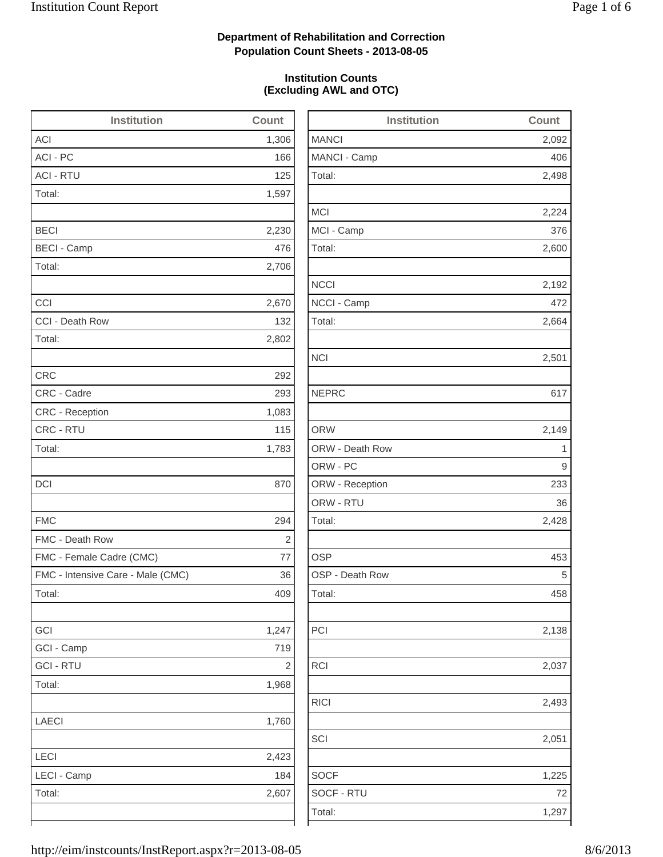2,498

2,224

2,600

2,192

2,664

2,428

2,138

2,493

2,051

1,225

### **Department of Rehabilitation and Correction Population Count Sheets - 2013-08-05**

### **Institution Counts (Excluding AWL and OTC)**

| <b>Institution</b>                | Count      | <b>Institution</b> | Count        |
|-----------------------------------|------------|--------------------|--------------|
| <b>ACI</b>                        | 1,306      | <b>MANCI</b>       | 2,092        |
| ACI - PC                          | 166        | MANCI - Camp       | 406          |
| <b>ACI - RTU</b>                  | 125        | Total:             | 2,498        |
| Total:                            | 1,597      |                    |              |
|                                   |            | <b>MCI</b>         | 2,224        |
| <b>BECI</b>                       | 2,230      | MCI - Camp         | 376          |
| <b>BECI - Camp</b>                | 476        | Total:             | 2,600        |
| Total:                            | 2,706      |                    |              |
|                                   |            | <b>NCCI</b>        | 2,192        |
| CCI                               | 2,670      | NCCI - Camp        | 472          |
| CCI - Death Row                   | 132        | Total:             | 2,664        |
| Total:                            | 2,802      |                    |              |
|                                   |            | <b>NCI</b>         | 2,501        |
| <b>CRC</b>                        | 292        |                    |              |
| CRC - Cadre                       | 293        | <b>NEPRC</b>       | 617          |
| CRC - Reception                   | 1,083      |                    |              |
| CRC - RTU                         | 115        | <b>ORW</b>         | 2,149        |
| Total:                            | 1,783      | ORW - Death Row    | $\mathbf{1}$ |
|                                   |            | ORW - PC           | 9            |
| <b>DCI</b>                        | 870        | ORW - Reception    | 233          |
|                                   |            | ORW - RTU          | 36           |
| <b>FMC</b>                        | 294        | Total:             | 2,428        |
| FMC - Death Row                   | $\sqrt{2}$ |                    |              |
| FMC - Female Cadre (CMC)          | 77         | <b>OSP</b>         | 453          |
| FMC - Intensive Care - Male (CMC) | 36         | OSP - Death Row    | 5            |
| Total:                            | 409        | Total:             | 458          |
| GCI                               | 1,247      | PCI                | 2,138        |
| GCI - Camp                        | 719        |                    |              |
| <b>GCI-RTU</b>                    | $\sqrt{2}$ | RCI                | 2,037        |
| Total:                            | 1,968      |                    |              |
|                                   |            | <b>RICI</b>        | 2,493        |
| <b>LAECI</b>                      | 1,760      |                    |              |
|                                   |            | SCI                | 2,051        |
| LECI                              | 2,423      |                    |              |
| LECI - Camp                       | 184        | <b>SOCF</b>        | 1,225        |
| Total:                            | 2,607      | SOCF - RTU         | 72           |
|                                   |            | Total:             | 1,297        |
|                                   |            |                    |              |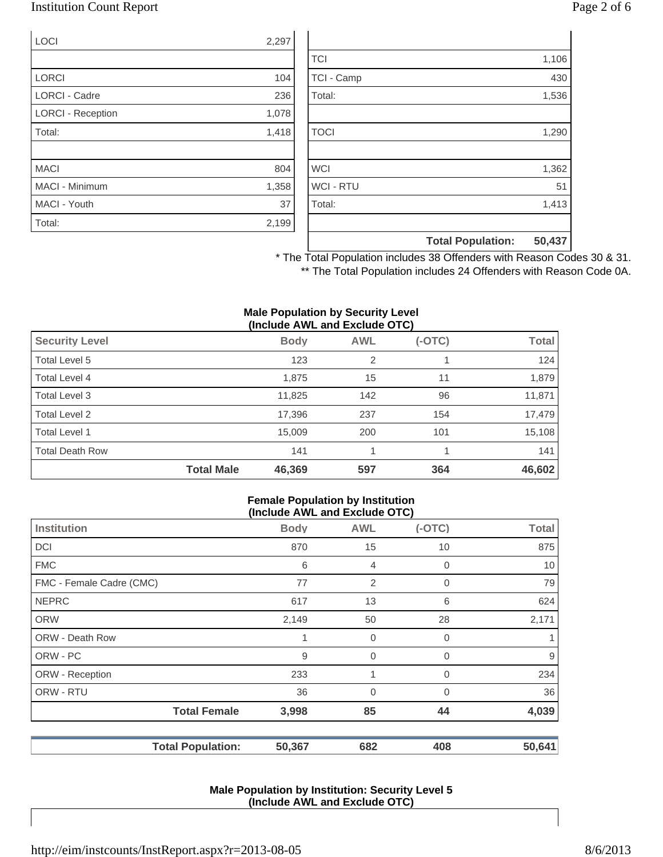### Institution Count Report Page 2 of 6

| <b>LOCI</b>              | 2,297 |
|--------------------------|-------|
|                          |       |
| <b>LORCI</b>             | 104   |
| <b>LORCI - Cadre</b>     | 236   |
| <b>LORCI - Reception</b> | 1,078 |
| Total:                   | 1,418 |
|                          |       |
| <b>MACI</b>              | 804   |
| <b>MACI - Minimum</b>    | 1,358 |
| MACI - Youth             | 37    |
| Total:                   | 2,199 |

|                  | <b>Total Population:</b> | 50,437 |
|------------------|--------------------------|--------|
|                  |                          |        |
| Total:           |                          | 1,413  |
| <b>WCI - RTU</b> |                          | 51     |
| <b>WCI</b>       |                          | 1,362  |
|                  |                          |        |
| <b>TOCI</b>      |                          | 1,290  |
|                  |                          |        |
| Total:           |                          | 1,536  |
| TCI - Camp       |                          | 430    |
| <b>TCI</b>       |                          | 1,106  |

\* The Total Population includes 38 Offenders with Reason Codes 30 & 31. \*\* The Total Population includes 24 Offenders with Reason Code 0A.

#### **Male Population by Security Level (Include AWL and Exclude OTC)**

| <b>Security Level</b>  |                   | <b>Body</b> | <b>AWL</b> | $(-OTC)$ | <b>Total</b> |
|------------------------|-------------------|-------------|------------|----------|--------------|
| Total Level 5          |                   | 123         | 2          |          | 124          |
| Total Level 4          |                   | 1,875       | 15         | 11       | 1,879        |
| Total Level 3          |                   | 11,825      | 142        | 96       | 11,871       |
| Total Level 2          |                   | 17,396      | 237        | 154      | 17,479       |
| Total Level 1          |                   | 15,009      | 200        | 101      | 15,108       |
| <b>Total Death Row</b> |                   | 141         |            |          | 141          |
|                        | <b>Total Male</b> | 46,369      | 597        | 364      | 46,602       |

#### **Female Population by Institution (Include AWL and Exclude OTC)**

| $(110100C)$ and the column $(010)$ |                          |             |                |             |              |
|------------------------------------|--------------------------|-------------|----------------|-------------|--------------|
| <b>Institution</b>                 |                          | <b>Body</b> | <b>AWL</b>     | $(-OTC)$    | <b>Total</b> |
| <b>DCI</b>                         |                          | 870         | 15             | 10          | 875          |
| <b>FMC</b>                         |                          | 6           | 4              | 0           | 10           |
| FMC - Female Cadre (CMC)           |                          | 77          | $\overline{2}$ | $\mathbf 0$ | 79           |
| <b>NEPRC</b>                       |                          | 617         | 13             | 6           | 624          |
| <b>ORW</b>                         |                          | 2,149       | 50             | 28          | 2,171        |
| <b>ORW - Death Row</b>             |                          | 1           | 0              | 0           |              |
| ORW - PC                           |                          | 9           | 0              | 0           | 9            |
| ORW - Reception                    |                          | 233         | 1              | 0           | 234          |
| ORW - RTU                          |                          | 36          | 0              | 0           | 36           |
|                                    | <b>Total Female</b>      | 3,998       | 85             | 44          | 4,039        |
|                                    | <b>Total Population:</b> | 50,367      | 682            | 408         | 50,641       |

#### **Male Population by Institution: Security Level 5 (Include AWL and Exclude OTC)**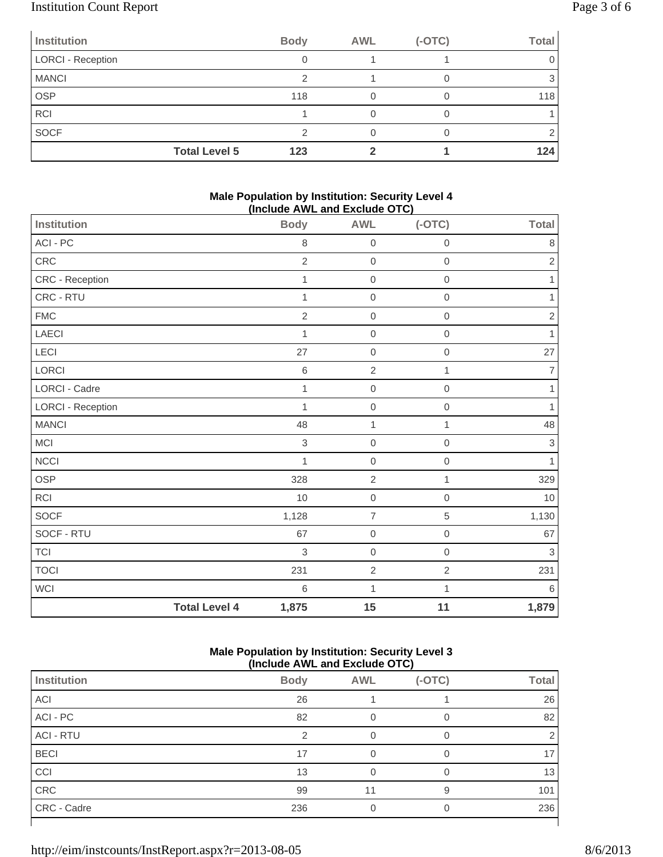# Institution Count Report Page 3 of 6

| <b>Institution</b>       | <b>Body</b> | <b>AWL</b> | $(-OTC)$ | <b>Total</b> |
|--------------------------|-------------|------------|----------|--------------|
| <b>LORCI - Reception</b> |             |            |          |              |
| <b>MANCI</b>             | ⌒           |            |          |              |
| <b>OSP</b>               | 118         |            |          | 118          |
| <b>RCI</b>               |             |            |          |              |
| <b>SOCF</b>              |             |            |          |              |
| <b>Total Level 5</b>     | 123         |            |          | 124          |

#### **Male Population by Institution: Security Level 4 (Include AWL and Exclude OTC)**

| <b>Institution</b>       |                      | <b>Body</b>    | <b>AWL</b>       | $(-OTC)$     | <b>Total</b>   |
|--------------------------|----------------------|----------------|------------------|--------------|----------------|
| ACI - PC                 |                      | 8              | $\mathbf 0$      | $\mathbf 0$  | $\,8\,$        |
| CRC                      |                      | $\overline{2}$ | $\mathbf 0$      | $\mathbf 0$  | $\overline{2}$ |
| CRC - Reception          |                      | 1              | $\mathbf 0$      | $\mathbf 0$  | 1              |
| CRC - RTU                |                      | 1              | $\mbox{O}$       | $\mathbf 0$  | 1              |
| ${\sf FMC}$              |                      | $\overline{2}$ | $\mathbf 0$      | $\mathbf 0$  | $\sqrt{2}$     |
| LAECI                    |                      | 1              | $\mathbf 0$      | $\mathbf 0$  | $\mathbf{1}$   |
| LECI                     |                      | 27             | $\mbox{O}$       | $\,0\,$      | 27             |
| LORCI                    |                      | $\,$ 6 $\,$    | $\overline{2}$   | 1            | $\overline{7}$ |
| LORCI - Cadre            |                      | $\mathbf{1}$   | $\mathbf 0$      | $\mathbf 0$  | $\mathbf{1}$   |
| <b>LORCI - Reception</b> |                      | $\mathbf{1}$   | $\boldsymbol{0}$ | $\mathbf 0$  | 1              |
| <b>MANCI</b>             |                      | 48             | 1                | 1            | 48             |
| MCI                      |                      | $\,$ 3 $\,$    | $\mathbf 0$      | $\mathbf 0$  | $\,3$          |
| <b>NCCI</b>              |                      | 1              | $\boldsymbol{0}$ | $\mathbf 0$  | 1              |
| OSP                      |                      | 328            | $\overline{2}$   | 1            | 329            |
| <b>RCI</b>               |                      | 10             | $\mathbf 0$      | $\mathbf 0$  | 10             |
| SOCF                     |                      | 1,128          | $\overline{7}$   | $\,$ 5 $\,$  | 1,130          |
| SOCF - RTU               |                      | 67             | $\mbox{O}$       | $\,0\,$      | 67             |
| <b>TCI</b>               |                      | $\,$ 3 $\,$    | $\boldsymbol{0}$ | $\mathbf 0$  | $\sqrt{3}$     |
| <b>TOCI</b>              |                      | 231            | $\overline{2}$   | 2            | 231            |
| WCI                      |                      | 6              | $\mathbf 1$      | $\mathbf{1}$ | $\,6$          |
|                          | <b>Total Level 4</b> | 1,875          | 15               | 11           | 1,879          |

### **Male Population by Institution: Security Level 3 (Include AWL and Exclude OTC)**

| .                |             |            |          |              |  |
|------------------|-------------|------------|----------|--------------|--|
| Institution      | <b>Body</b> | <b>AWL</b> | $(-OTC)$ | <b>Total</b> |  |
| ACI              | 26          |            |          | 26           |  |
| ACI - PC         | 82          |            |          | 82           |  |
| <b>ACI - RTU</b> | 2           | 0          | $\Omega$ |              |  |
| <b>BECI</b>      | 17          |            | $\Omega$ | 17           |  |
| CCI              | 13          |            |          | 13           |  |
| CRC              | 99          | 11         | 9        | 101          |  |
| CRC - Cadre      | 236         |            | 0        | 236          |  |
|                  |             |            |          |              |  |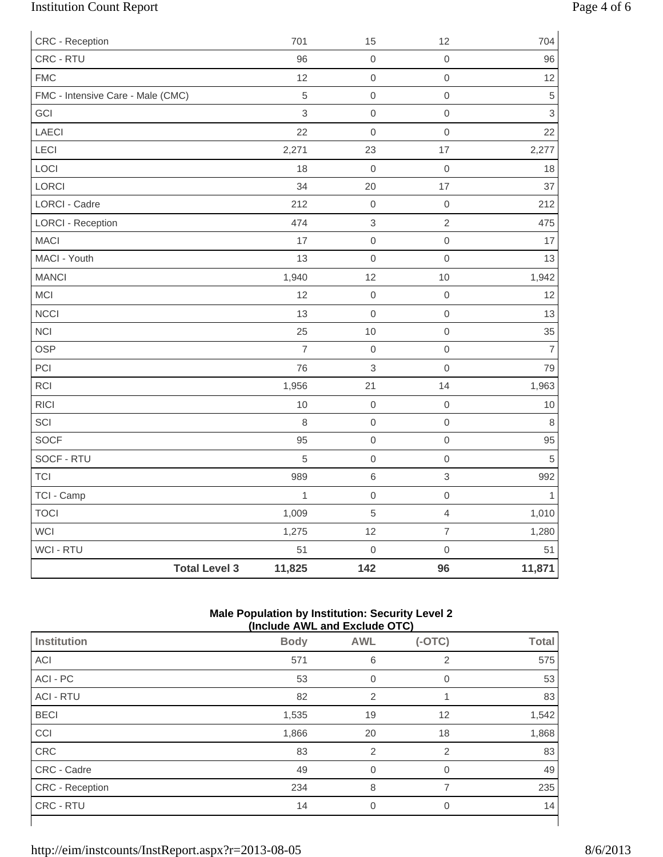# Institution Count Report Page 4 of 6

| CRC - Reception                   |                      | 701            | 15                        | 12                  | 704            |
|-----------------------------------|----------------------|----------------|---------------------------|---------------------|----------------|
| CRC - RTU                         |                      | 96             | $\boldsymbol{0}$          | $\mathbf 0$         | 96             |
| <b>FMC</b>                        |                      | 12             | $\mathbf 0$               | $\mbox{O}$          | 12             |
| FMC - Intensive Care - Male (CMC) |                      | 5              | $\mathbf 0$               | $\mbox{O}$          | $\,$ 5 $\,$    |
| GCI                               |                      | 3              | $\mathbf 0$               | $\mathbf 0$         | $\mathfrak{S}$ |
| LAECI                             |                      | 22             | $\mathbf 0$               | $\mathbf 0$         | 22             |
| LECI                              |                      | 2,271          | 23                        | $17$                | 2,277          |
| LOCI                              |                      | 18             | $\mathbf 0$               | $\mathbf 0$         | 18             |
| LORCI                             |                      | 34             | 20                        | 17                  | 37             |
| LORCI - Cadre                     |                      | 212            | $\boldsymbol{0}$          | $\mathbf 0$         | 212            |
| <b>LORCI - Reception</b>          |                      | 474            | $\ensuremath{\mathsf{3}}$ | $\sqrt{2}$          | 475            |
| <b>MACI</b>                       |                      | 17             | $\mathbf 0$               | $\,0\,$             | 17             |
| MACI - Youth                      |                      | 13             | $\mathbf 0$               | $\mathsf{O}\xspace$ | 13             |
| <b>MANCI</b>                      |                      | 1,940          | 12                        | 10                  | 1,942          |
| MCI                               |                      | 12             | $\mathbf 0$               | $\mbox{O}$          | 12             |
| <b>NCCI</b>                       |                      | 13             | $\mathbf 0$               | $\mbox{O}$          | 13             |
| <b>NCI</b>                        |                      | 25             | 10                        | $\mbox{O}$          | 35             |
| <b>OSP</b>                        |                      | $\overline{7}$ | $\mathbf 0$               | $\mbox{O}$          | $\overline{7}$ |
| PCI                               |                      | 76             | $\mathsf 3$               | $\mathbf 0$         | 79             |
| <b>RCI</b>                        |                      | 1,956          | 21                        | 14                  | 1,963          |
| <b>RICI</b>                       |                      | 10             | $\mathbf 0$               | $\mbox{O}$          | $10$           |
| SCI                               |                      | 8              | $\mathbf 0$               | $\mbox{O}$          | 8              |
| SOCF                              |                      | 95             | $\boldsymbol{0}$          | $\mathbf 0$         | 95             |
| SOCF - RTU                        |                      | 5              | $\mbox{O}$                | $\mbox{O}$          | $\sqrt{5}$     |
| <b>TCI</b>                        |                      | 989            | $\,6\,$                   | $\,$ 3 $\,$         | 992            |
| TCI - Camp                        |                      | $\mathbf{1}$   | $\mathbf 0$               | $\mathsf{O}\xspace$ | 1              |
| <b>TOCI</b>                       |                      | 1,009          | $\sqrt{5}$                | $\overline{4}$      | 1,010          |
| WCI                               |                      | 1,275          | 12                        | $\overline{7}$      | 1,280          |
| WCI - RTU                         |                      | 51             | $\mathbf 0$               | $\mathsf{O}\xspace$ | 51             |
|                                   | <b>Total Level 3</b> | 11,825         | 142                       | 96                  | 11,871         |

#### **Male Population by Institution: Security Level 2 (Include AWL and Exclude OTC)**

| (INClUDE AVE AND EXCIUDE UT U) |             |                |                |              |  |  |
|--------------------------------|-------------|----------------|----------------|--------------|--|--|
| <b>Institution</b>             | <b>Body</b> | <b>AWL</b>     | $(-OTC)$       | <b>Total</b> |  |  |
| ACI                            | 571         | 6              | 2              | 575          |  |  |
| ACI - PC                       | 53          | $\overline{0}$ | 0              | 53           |  |  |
| <b>ACI - RTU</b>               | 82          | $\overline{2}$ |                | 83           |  |  |
| <b>BECI</b>                    | 1,535       | 19             | 12             | 1,542        |  |  |
| CCI                            | 1,866       | 20             | 18             | 1,868        |  |  |
| CRC                            | 83          | $\overline{2}$ | 2              | 83           |  |  |
| CRC - Cadre                    | 49          | $\Omega$       | $\Omega$       | 49           |  |  |
| <b>CRC</b> - Reception         | 234         | 8              | 7              | 235          |  |  |
| CRC - RTU                      | 14          | 0              | $\overline{0}$ | 14           |  |  |
|                                |             |                |                |              |  |  |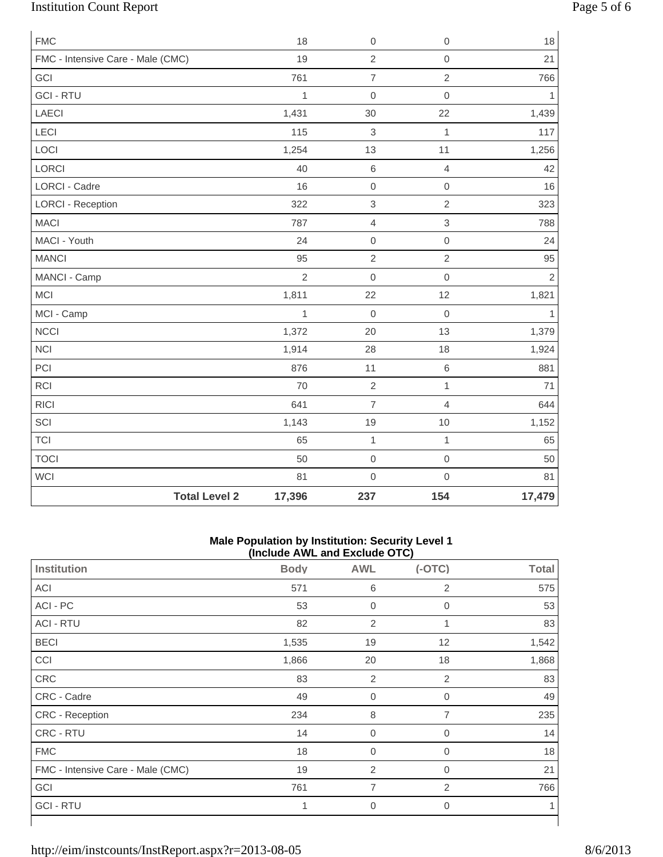# Institution Count Report Page 5 of 6

| <b>FMC</b>                        |                      | 18             | $\boldsymbol{0}$          | $\mathbf 0$         | 18             |
|-----------------------------------|----------------------|----------------|---------------------------|---------------------|----------------|
| FMC - Intensive Care - Male (CMC) |                      | 19             | $\overline{2}$            | $\mathbf 0$         | 21             |
| GCI                               |                      | 761            | $\overline{7}$            | $\overline{2}$      | 766            |
| <b>GCI-RTU</b>                    |                      | $\mathbf{1}$   | $\mathbf 0$               | $\mathsf{O}\xspace$ | 1              |
| LAECI                             |                      | 1,431          | 30                        | 22                  | 1,439          |
| LECI                              |                      | 115            | 3                         | $\mathbf{1}$        | 117            |
| LOCI                              |                      | 1,254          | 13                        | 11                  | 1,256          |
| LORCI                             |                      | 40             | $\,6\,$                   | $\overline{4}$      | 42             |
| <b>LORCI - Cadre</b>              |                      | 16             | $\mathbf 0$               | $\mathsf{O}\xspace$ | 16             |
| <b>LORCI - Reception</b>          |                      | 322            | $\ensuremath{\mathsf{3}}$ | $\overline{2}$      | 323            |
| <b>MACI</b>                       |                      | 787            | $\overline{4}$            | $\mathfrak{S}$      | 788            |
| MACI - Youth                      |                      | 24             | $\boldsymbol{0}$          | $\mathsf{O}\xspace$ | 24             |
| <b>MANCI</b>                      |                      | 95             | $\overline{2}$            | $\overline{2}$      | 95             |
| MANCI - Camp                      |                      | $\overline{2}$ | $\mathbf 0$               | $\mathsf{O}\xspace$ | $\overline{2}$ |
| MCI                               |                      | 1,811          | 22                        | 12                  | 1,821          |
| MCI - Camp                        |                      | $\mathbf{1}$   | $\mathbf 0$               | $\mathbf 0$         | $\mathbf{1}$   |
| <b>NCCI</b>                       |                      | 1,372          | 20                        | 13                  | 1,379          |
| <b>NCI</b>                        |                      | 1,914          | 28                        | 18                  | 1,924          |
| PCI                               |                      | 876            | 11                        | $\,6$               | 881            |
| RCI                               |                      | 70             | $\overline{2}$            | $\mathbf{1}$        | 71             |
| <b>RICI</b>                       |                      | 641            | $\overline{7}$            | $\overline{4}$      | 644            |
| SCI                               |                      | 1,143          | 19                        | $10$                | 1,152          |
| <b>TCI</b>                        |                      | 65             | $\mathbf{1}$              | $\mathbf{1}$        | 65             |
| <b>TOCI</b>                       |                      | 50             | $\boldsymbol{0}$          | $\mathbf 0$         | 50             |
| WCI                               |                      | 81             | $\mathbf 0$               | $\mathsf{O}\xspace$ | 81             |
|                                   | <b>Total Level 2</b> | 17,396         | 237                       | 154                 | 17,479         |

#### **Male Population by Institution: Security Level 1 (Include AWL and Exclude OTC)**

|                                   | $(110100C)$ and the column $(010)$ |                |                |              |
|-----------------------------------|------------------------------------|----------------|----------------|--------------|
| <b>Institution</b>                | <b>Body</b>                        | <b>AWL</b>     | $(-OTC)$       | <b>Total</b> |
| ACI                               | 571                                | 6              | 2              | 575          |
| ACI - PC                          | 53                                 | 0              | 0              | 53           |
| <b>ACI - RTU</b>                  | 82                                 | 2              | 1              | 83           |
| <b>BECI</b>                       | 1,535                              | 19             | 12             | 1,542        |
| CCI                               | 1,866                              | 20             | 18             | 1,868        |
| CRC                               | 83                                 | 2              | 2              | 83           |
| CRC - Cadre                       | 49                                 | $\mathbf 0$    | $\mathbf{0}$   | 49           |
| CRC - Reception                   | 234                                | 8              | $\overline{7}$ | 235          |
| CRC - RTU                         | 14                                 | $\mathbf 0$    | $\mathbf{0}$   | 14           |
| <b>FMC</b>                        | 18                                 | $\mathbf 0$    | $\mathbf{0}$   | 18           |
| FMC - Intensive Care - Male (CMC) | 19                                 | $\overline{2}$ | 0              | 21           |
| GCI                               | 761                                | 7              | 2              | 766          |
| <b>GCI-RTU</b>                    | 1                                  | $\mathbf 0$    | 0              | 1            |
|                                   |                                    |                |                |              |

⅂